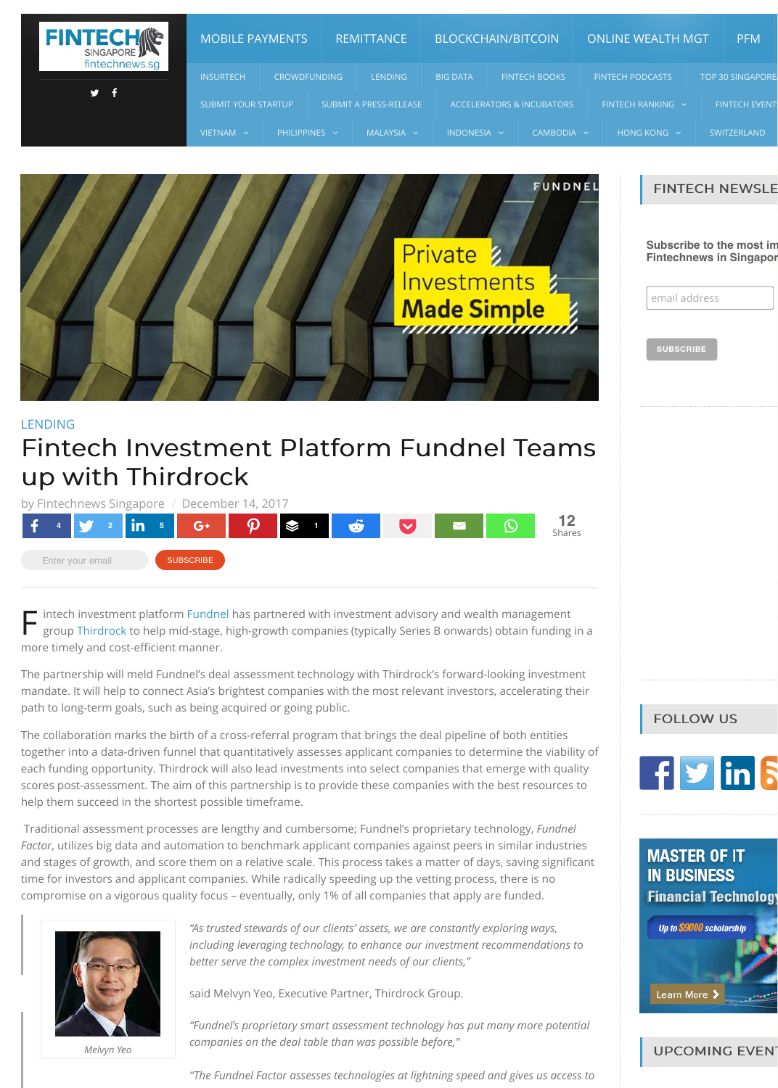

*Melvyn Yeo*

### [LENDING](http://fintechnews.sg/lending/)

# Fintech Investment Platform Fundnel Teams up with Thirdrock

F intech investment platform [Fundnel](http://www.fundnel.com/) has partnered with investment advisory and wealth management group [Thirdrock](http://www.thirdrockgrp.com/) to help mid-stage, high-growth companies (typically Series B onwards) obtain funding in a more timely and cost-efficient manner.

The partnership will meld Fundnel's deal assessment technology with Thirdrock's forward-looking investment mandate. It will help to connect Asia's brightest companies with the most relevant investors, accelerating their path to long-term goals, such as being acquired or going public.

The collaboration marks the birth of a cross-referral program that brings the deal pipeline of both entities together into a data-driven funnel that quantitatively assesses applicant companies to determine the viability of each funding opportunity. Thirdrock will also lead investments into select companies that emerge with quality scores post-assessment. The aim of this partnership is to provide these companies with the best resources to help them succeed in the shortest possible timeframe.



| <b>FINTECHAP</b> | <b>MOBILE PAYMENTS</b>     |                    |                     | <b>REMITTANCE</b>             | <b>BLOCKCHAIN/BITCOIN</b> |                                      | <b>ONLINE WEALTH MGT</b> | <b>PFM</b>              |
|------------------|----------------------------|--------------------|---------------------|-------------------------------|---------------------------|--------------------------------------|--------------------------|-------------------------|
| fintechnews.sg   | <b>INSURTECH</b>           |                    | <b>CROWDFUNDING</b> | <b>LENDING</b>                | <b>BIG DATA</b>           | <b>FINTECH BOOKS</b>                 | <b>FINTECH PODCASTS</b>  | <b>TOP 30 SINGAPORE</b> |
| y.               | <b>SUBMIT YOUR STARTUP</b> |                    |                     | <b>SUBMIT A PRESS-RELEASE</b> |                           | <b>ACCELERATORS &amp; INCUBATORS</b> | FINTECH RANKING $\sim$   | <b>FINTECH EVENT:</b>   |
|                  | VIETNAM Y                  | PHILIPPINES $\sim$ |                     | MALAYSIA v                    | $INDONESIA \sim$          | CAMBODIA v                           | HONG KONG $\sim$         | <b>SWITZERLAND</b>      |

Traditional assessment processes are lengthy and cumbersome; Fundnel's proprietary technology, *Fundnel Factor*, utilizes big data and automation to benchmark applicant companies against peers in similar industries and stages of growth, and score them on a relative scale. This process takes a matter of days, saving significant time for investors and applicant companies. While radically speeding up the vetting process, there is no compromise on a vigorous quality focus – eventually, only 1% of all companies that apply are funded.



*"As trusted stewards of our clients' assets, we are constantly exploring ways, including leveraging technology, to enhance our investment recommendations to better serve the complex investment needs of our clients,"*

said Melvyn Yeo, Executive Partner, Thirdrock Group.

*"Fundnel's proprietary smart assessment technology has put many more potential companies on the deal table than was possible before,"*

*"The Fundnel Factor assesses technologies at lightning speed and gives us access to*

## FOLLOW US



**MASTER OF IT IN BUSINESS Financial Technology** Up to \$9000 scholarship

Learn More >

**UPCOMING EVEN**